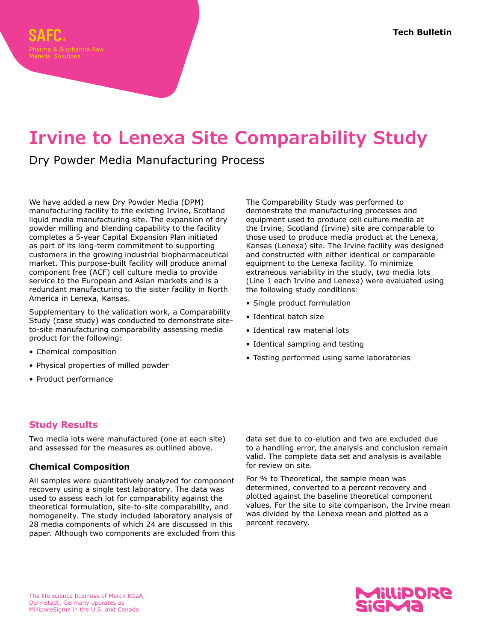# **Irvine to Lenexa Site Comparability Study**

## Dry Powder Media Manufacturing Process

We have added a new Dry Powder Media (DPM) manufacturing facility to the existing Irvine, Scotland liquid media manufacturing site. The expansion of dry powder milling and blending capability to the facility completes a 5-year Capital Expansion Plan initiated as part of its long-term commitment to supporting customers in the growing industrial biopharmaceutical market. This purpose-built facility will produce animal component free (ACF) cell culture media to provide service to the European and Asian markets and is a redundant manufacturing to the sister facility in North America in Lenexa, Kansas.

Supplementary to the validation work, a Comparability Study (case study) was conducted to demonstrate siteto-site manufacturing comparability assessing media product for the following:

- Chemical composition
- Physical properties of milled powder
- Product performance

### **Study Results**

Two media lots were manufactured (one at each site) and assessed for the measures as outlined above.

#### **Chemical Composition**

All samples were quantitatively analyzed for component recovery using a single test laboratory. The data was used to assess each lot for comparability against the theoretical formulation, site-to-site comparability, and homogeneity. The study included laboratory analysis of 28 media components of which 24 are discussed in this paper. Although two components are excluded from this The Comparability Study was performed to demonstrate the manufacturing processes and equipment used to produce cell culture media at the Irvine, Scotland (Irvine) site are comparable to those used to produce media product at the Lenexa, Kansas (Lenexa) site. The Irvine facility was designed and constructed with either identical or comparable equipment to the Lenexa facility. To minimize extraneous variability in the study, two media lots (Line 1 each Irvine and Lenexa) were evaluated using the following study conditions:

- Single product formulation
- Identical batch size
- Identical raw material lots
- Identical sampling and testing
- Testing performed using same laboratories

data set due to co-elution and two are excluded due to a handling error, the analysis and conclusion remain valid. The complete data set and analysis is available for review on site.

For % to Theoretical, the sample mean was determined, converted to a percent recovery and plotted against the baseline theoretical component values. For the site to site comparison, the Irvine mean was divided by the Lenexa mean and plotted as a percent recovery.

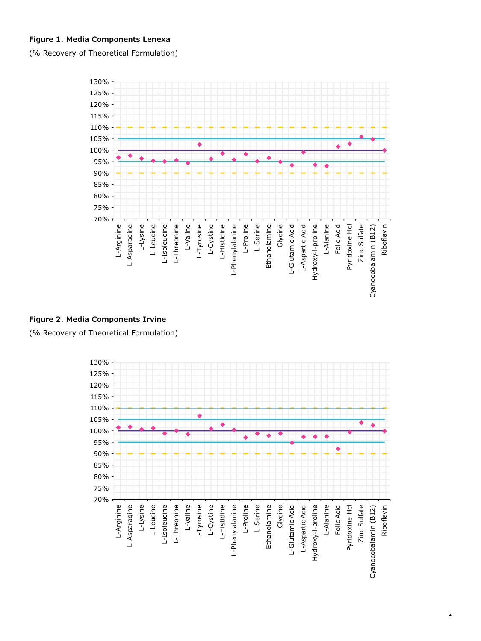#### **Figure 1. Media Components Lenexa**

(% Recovery of Theoretical Formulation)



#### **Figure 2. Media Components Irvine**

(% Recovery of Theoretical Formulation)

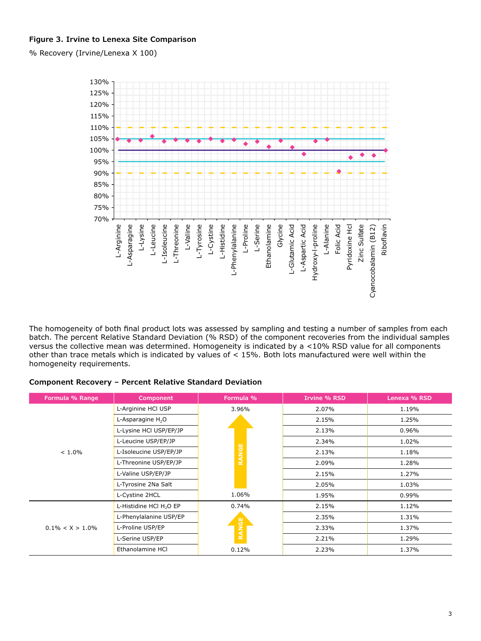#### **Figure 3. Irvine to Lenexa Site Comparison**

% Recovery (Irvine/Lenexa X 100)



The homogeneity of both final product lots was assessed by sampling and testing a number of samples from each batch. The percent Relative Standard Deviation (% RSD) of the component recoveries from the individual samples versus the collective mean was determined. Homogeneity is indicated by a <10% RSD value for all components other than trace metals which is indicated by values of < 15%. Both lots manufactured were well within the homogeneity requirements.

#### **Component Recovery – Percent Relative Standard Deviation**

| Formula % Range     | Component                           | Formula %    | <b>Irvine % RSD</b> | Lenexa % RSD |
|---------------------|-------------------------------------|--------------|---------------------|--------------|
| $< 1.0\%$           | L-Arginine HCl USP                  | 3.96%        | 2.07%               | 1.19%        |
|                     | L-Asparagine H <sub>2</sub> O       | <b>RANGE</b> | 2.15%               | 1.25%        |
|                     | L-Lysine HCl USP/EP/JP              |              | 2.13%               | 0.96%        |
|                     | L-Leucine USP/EP/JP                 |              | 2.34%               | 1.02%        |
|                     | L-Isoleucine USP/EP/JP              |              | 2.13%               | 1.18%        |
|                     | L-Threonine USP/EP/JP               |              | 2.09%               | 1.28%        |
|                     | L-Valine USP/EP/JP                  |              | 2.15%               | 1.27%        |
|                     | L-Tyrosine 2Na Salt                 |              | 2.05%               | 1.03%        |
|                     | L-Cystine 2HCL                      | 1.06%        | 1.95%               | 0.99%        |
| $0.1\% < X > 1.0\%$ | L-Histidine HCl H <sub>2</sub> O EP | 0.74%        | 2.15%               | 1.12%        |
|                     | L-Phenylalanine USP/EP              |              | 2.35%               | 1.31%        |
|                     | L-Proline USP/EP                    | RANGE        | 2.33%               | 1.37%        |
|                     | L-Serine USP/EP                     |              | 2.21%               | 1.29%        |
|                     | Ethanolamine HCI                    | 0.12%        | 2.23%               | 1.37%        |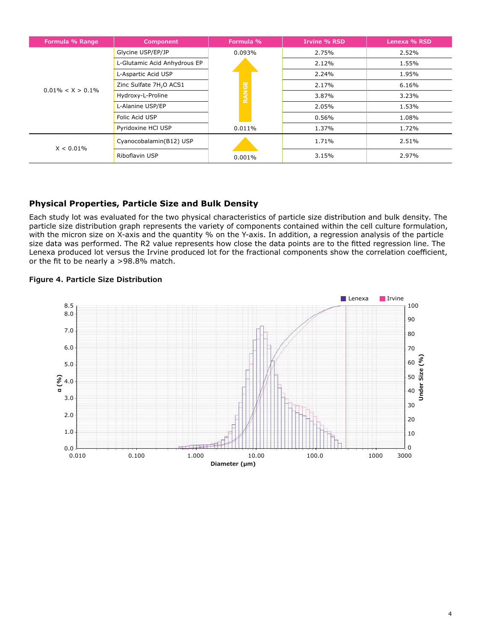| Formula % Range      | Component                           | Formula %              | <b>Irvine % RSD</b> | Lenexa % RSD |
|----------------------|-------------------------------------|------------------------|---------------------|--------------|
| $0.01\% < X > 0.1\%$ | Glycine USP/EP/JP                   | 0.093%<br><b>RANGE</b> | 2.75%               | 2.52%        |
|                      | L-Glutamic Acid Anhydrous EP        |                        | 2.12%               | 1.55%        |
|                      | L-Aspartic Acid USP                 |                        | 2.24%               | 1.95%        |
|                      | Zinc Sulfate 7H <sub>2</sub> O ACS1 |                        | 2.17%               | 6.16%        |
|                      | Hydroxy-L-Proline                   |                        | 3.87%               | 3.23%        |
|                      | L-Alanine USP/EP                    |                        | 2.05%               | 1.53%        |
|                      | Folic Acid USP                      |                        | 0.56%               | 1.08%        |
|                      | Pyridoxine HCI USP                  | $0.011\%$              | 1.37%               | 1.72%        |
| $X < 0.01\%$         | Cyanocobalamin(B12) USP             |                        | 1.71%               | 2.51%        |
|                      | Riboflavin USP                      | 0.001%                 | 3.15%               | 2.97%        |

#### **Physical Properties, Particle Size and Bulk Density**

Each study lot was evaluated for the two physical characteristics of particle size distribution and bulk density. The particle size distribution graph represents the variety of components contained within the cell culture formulation, with the micron size on X-axis and the quantity % on the Y-axis. In addition, a regression analysis of the particle size data was performed. The R2 value represents how close the data points are to the fitted regression line. The Lenexa produced lot versus the Irvine produced lot for the fractional components show the correlation coefficient, or the fit to be nearly a >98.8% match.



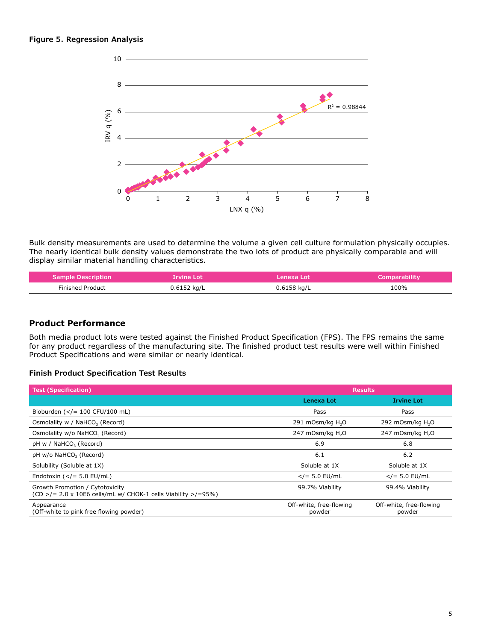

Bulk density measurements are used to determine the volume a given cell culture formulation physically occupies. The nearly identical bulk density values demonstrate the two lots of product are physically comparable and will display similar material handling characteristics.

| <b>Sample Description</b> | <b>Irvine Lot</b> | ZLenexa Lotz  | <b>Comparability</b> |
|---------------------------|-------------------|---------------|----------------------|
| <b>Finished Product</b>   | $0.6152$ kg/L     | $0.6158$ kg/L | 100%                 |

#### **Product Performance**

Both media product lots were tested against the Finished Product Specification (FPS). The FPS remains the same for any product regardless of the manufacturing site. The finished product test results were well within Finished Product Specifications and were similar or nearly identical.

#### **Finish Product Specification Test Results**

| <b>Test (Specification)</b>                                                                                      | <b>Results</b>                    |                                   |  |
|------------------------------------------------------------------------------------------------------------------|-----------------------------------|-----------------------------------|--|
|                                                                                                                  | Lenexa Lot                        | <b>Irvine Lot</b>                 |  |
| Bioburden $(<=100$ CFU/100 mL)                                                                                   | Pass                              | Pass                              |  |
| Osmolality w / NaHCO <sub>3</sub> (Record)                                                                       | 291 mOsm/kg H <sub>2</sub> O      | 292 mOsm/kg $H2O$                 |  |
| Osmolality w/o NaHCO <sub>3</sub> (Record)                                                                       | 247 mOsm/kg H <sub>2</sub> O      | 247 mOsm/kg H <sub>2</sub> O      |  |
| pH w / NaHCO <sub>3</sub> (Record)                                                                               | 6.9                               | 6.8                               |  |
| pH w/o NaHCO <sub>3</sub> (Record)                                                                               | 6.1                               | 6.2                               |  |
| Solubility (Soluble at 1X)                                                                                       | Soluble at 1X                     | Soluble at 1X                     |  |
| Endotoxin $(<= 5.0$ EU/mL)                                                                                       | $<$ /= 5.0 EU/mL                  | $<$ /= 5.0 EU/mL                  |  |
| Growth Promotion / Cytotoxicity<br>$(CD > / = 2.0 \times 10E6$ cells/mL w/ CHOK-1 cells Viability $> / = 95\%$ ) | 99.7% Viability                   | 99.4% Viability                   |  |
| Appearance<br>(Off-white to pink free flowing powder)                                                            | Off-white, free-flowing<br>powder | Off-white, free-flowing<br>powder |  |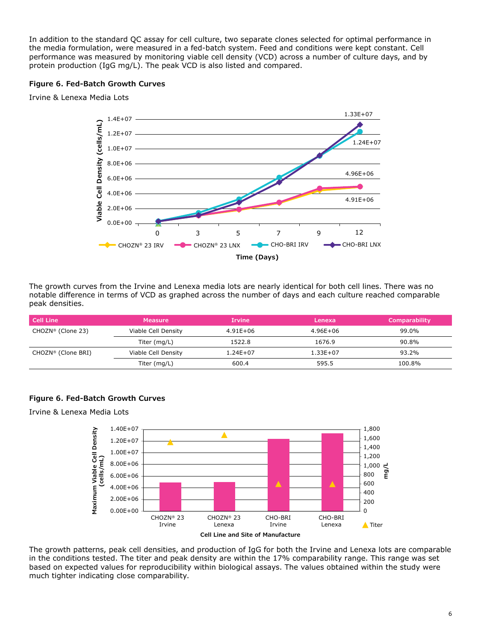In addition to the standard QC assay for cell culture, two separate clones selected for optimal performance in the media formulation, were measured in a fed-batch system. Feed and conditions were kept constant. Cell performance was measured by monitoring viable cell density (VCD) across a number of culture days, and by protein production (IgG mg/L). The peak VCD is also listed and compared.

#### **Figure 6. Fed-Batch Growth Curves**

Irvine & Lenexa Media Lots



The growth curves from the Irvine and Lenexa media lots are nearly identical for both cell lines. There was no notable difference in terms of VCD as graphed across the number of days and each culture reached comparable peak densities.

| l Cell Line                   | <b>Measure</b>      | <b>Irvine</b> | Lenexa       | <b>Comparability</b> |
|-------------------------------|---------------------|---------------|--------------|----------------------|
| CHOZN <sup>®</sup> (Clone 23) | Viable Cell Density | 4.91E+06      | 4.96E+06     | 99.0%                |
|                               | Titer (mg/L)        | 1522.8        | 1676.9       | 90.8%                |
| CHOZN® (Clone BRI)            | Viable Cell Density | $1.24E + 07$  | $1.33E + 07$ | 93.2%                |
|                               | Titer (mg/L)        | 600.4         | 595.5        | 100.8%               |

#### **Figure 6. Fed-Batch Growth Curves**

Irvine & Lenexa Media Lots



The growth patterns, peak cell densities, and production of IgG for both the Irvine and Lenexa lots are comparable in the conditions tested. The titer and peak density are within the 17% comparability range. This range was set based on expected values for reproducibility within biological assays. The values obtained within the study were much tighter indicating close comparability.